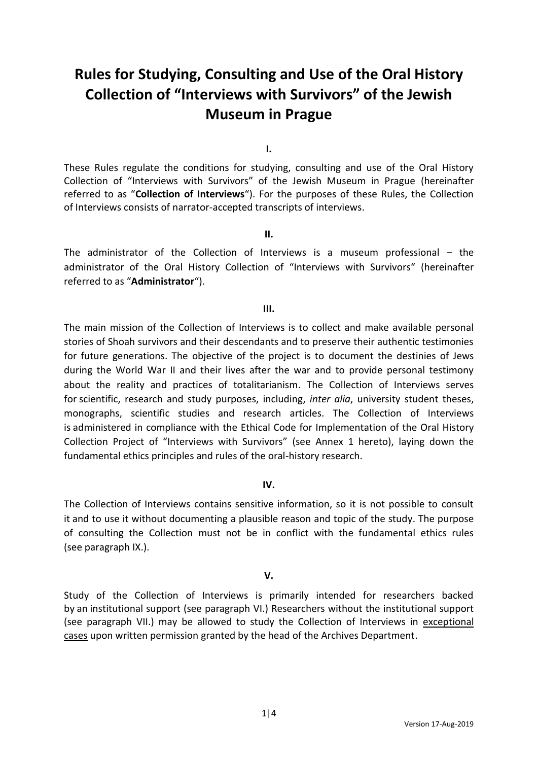# **Rules for Studying, Consulting and Use of the Oral History Collection of "Interviews with Survivors" of the Jewish Museum in Prague**

**I.**

These Rules regulate the conditions for studying, consulting and use of the Oral History Collection of "Interviews with Survivors" of the Jewish Museum in Prague (hereinafter referred to as "**Collection of Interviews**"). For the purposes of these Rules, the Collection of Interviews consists of narrator-accepted transcripts of interviews.

#### **II.**

The administrator of the Collection of Interviews is a museum professional – the administrator of the Oral History Collection of "Interviews with Survivors" (hereinafter referred to as "**Administrator**").

## **III.**

The main mission of the Collection of Interviews is to collect and make available personal stories of Shoah survivors and their descendants and to preserve their authentic testimonies for future generations. The objective of the project is to document the destinies of Jews during the World War II and their lives after the war and to provide personal testimony about the reality and practices of totalitarianism. The Collection of Interviews serves for scientific, research and study purposes, including, *inter alia*, university student theses, monographs, scientific studies and research articles. The Collection of Interviews is administered in compliance with the Ethical Code for Implementation of the Oral History Collection Project of "Interviews with Survivors" (see Annex 1 hereto), laying down the fundamental ethics principles and rules of the oral-history research.

# **IV.**

The Collection of Interviews contains sensitive information, so it is not possible to consult it and to use it without documenting a plausible reason and topic of the study. The purpose of consulting the Collection must not be in conflict with the fundamental ethics rules (see paragraph IX.).

# **V.**

Study of the Collection of Interviews is primarily intended for researchers backed by an institutional support (see paragraph VI.) Researchers without the institutional support (see paragraph VII.) may be allowed to study the Collection of Interviews in exceptional cases upon written permission granted by the head of the Archives Department.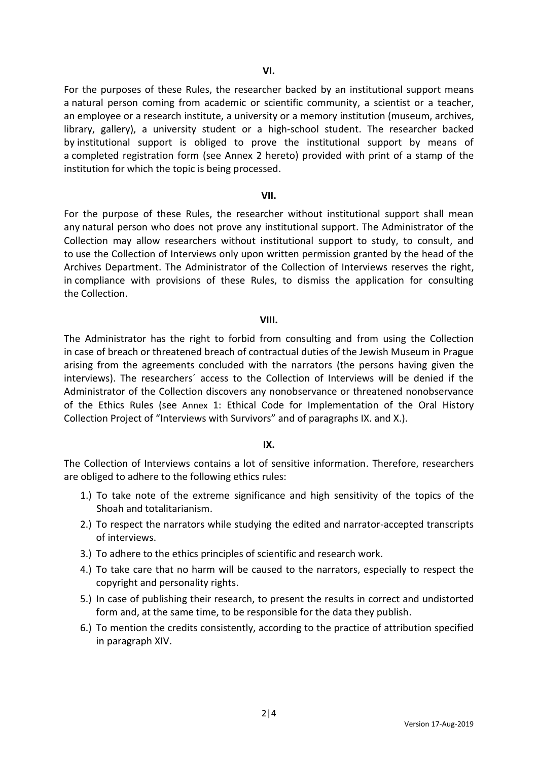For the purposes of these Rules, the researcher backed by an institutional support means a natural person coming from academic or scientific community, a scientist or a teacher, an employee or a research institute, a university or a memory institution (museum, archives, library, gallery), a university student or a high-school student. The researcher backed by institutional support is obliged to prove the institutional support by means of a completed registration form (see Annex 2 hereto) provided with print of a stamp of the institution for which the topic is being processed.

#### **VII.**

For the purpose of these Rules, the researcher without institutional support shall mean any natural person who does not prove any institutional support. The Administrator of the Collection may allow researchers without institutional support to study, to consult, and to use the Collection of Interviews only upon written permission granted by the head of the Archives Department. The Administrator of the Collection of Interviews reserves the right, in compliance with provisions of these Rules, to dismiss the application for consulting the Collection.

#### **VIII.**

The Administrator has the right to forbid from consulting and from using the Collection in case of breach or threatened breach of contractual duties of the Jewish Museum in Prague arising from the agreements concluded with the narrators (the persons having given the interviews). The researchers´ access to the Collection of Interviews will be denied if the Administrator of the Collection discovers any nonobservance or threatened nonobservance of the Ethics Rules (see Annex 1: Ethical Code for Implementation of the Oral History Collection Project of "Interviews with Survivors" and of paragraphs IX. and X.).

#### **IX.**

The Collection of Interviews contains a lot of sensitive information. Therefore, researchers are obliged to adhere to the following ethics rules:

- 1.) To take note of the extreme significance and high sensitivity of the topics of the Shoah and totalitarianism.
- 2.) To respect the narrators while studying the edited and narrator-accepted transcripts of interviews.
- 3.) To adhere to the ethics principles of scientific and research work.
- 4.) To take care that no harm will be caused to the narrators, especially to respect the copyright and personality rights.
- 5.) In case of publishing their research, to present the results in correct and undistorted form and, at the same time, to be responsible for the data they publish.
- 6.) To mention the credits consistently, according to the practice of attribution specified in paragraph XIV.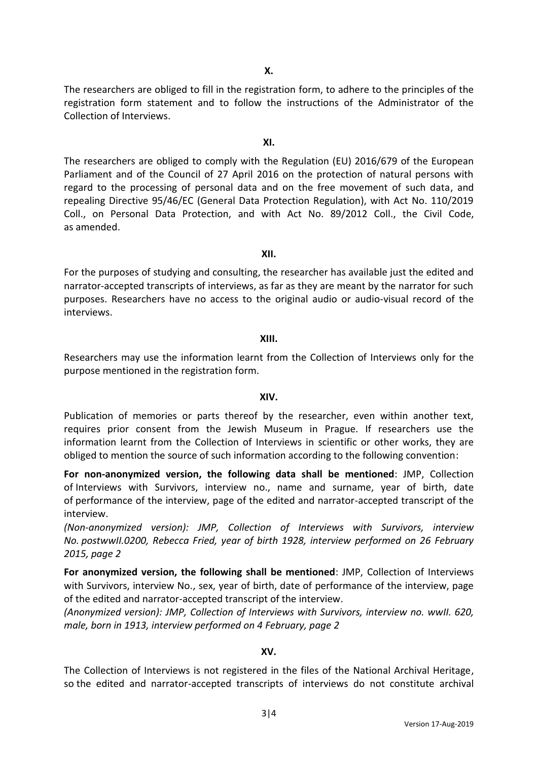The researchers are obliged to fill in the registration form, to adhere to the principles of the registration form statement and to follow the instructions of the Administrator of the Collection of Interviews.

## **XI.**

The researchers are obliged to comply with the Regulation (EU) 2016/679 of the European Parliament and of the Council of 27 April 2016 on the protection of natural persons with regard to the processing of personal data and on the free movement of such data, and repealing Directive 95/46/EC (General Data Protection Regulation), with Act No. 110/2019 Coll., on Personal Data Protection, and with Act No. 89/2012 Coll., the Civil Code, as amended.

#### **XII.**

For the purposes of studying and consulting, the researcher has available just the edited and narrator-accepted transcripts of interviews, as far as they are meant by the narrator for such purposes. Researchers have no access to the original audio or audio-visual record of the interviews.

## **XIII.**

Researchers may use the information learnt from the Collection of Interviews only for the purpose mentioned in the registration form.

#### **XIV.**

Publication of memories or parts thereof by the researcher, even within another text, requires prior consent from the Jewish Museum in Prague. If researchers use the information learnt from the Collection of Interviews in scientific or other works, they are obliged to mention the source of such information according to the following convention:

**For non-anonymized version, the following data shall be mentioned**: JMP, Collection of Interviews with Survivors, interview no., name and surname, year of birth, date of performance of the interview, page of the edited and narrator-accepted transcript of the interview.

*(Non-anonymized version): JMP, Collection of Interviews with Survivors, interview No. postwwII.0200, Rebecca Fried, year of birth 1928, interview performed on 26 February 2015, page 2*

**For anonymized version, the following shall be mentioned**: JMP, Collection of Interviews with Survivors, interview No., sex, year of birth, date of performance of the interview, page of the edited and narrator-accepted transcript of the interview.

*(Anonymized version): JMP, Collection of Interviews with Survivors, interview no. wwII. 620, male, born in 1913, interview performed on 4 February, page 2*

# **XV.**

The Collection of Interviews is not registered in the files of the National Archival Heritage, so the edited and narrator-accepted transcripts of interviews do not constitute archival